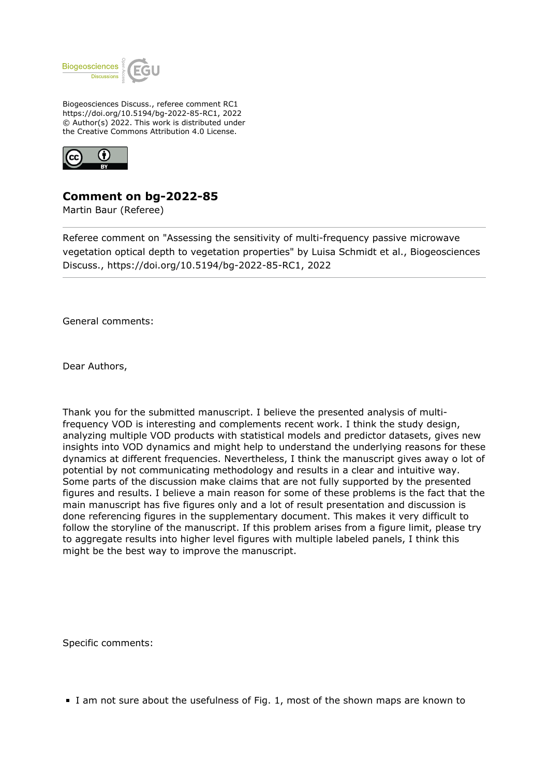

Biogeosciences Discuss., referee comment RC1 https://doi.org/10.5194/bg-2022-85-RC1, 2022 © Author(s) 2022. This work is distributed under the Creative Commons Attribution 4.0 License.



## **Comment on bg-2022-85**

Martin Baur (Referee)

Referee comment on "Assessing the sensitivity of multi-frequency passive microwave vegetation optical depth to vegetation properties" by Luisa Schmidt et al., Biogeosciences Discuss., https://doi.org/10.5194/bg-2022-85-RC1, 2022

General comments:

Dear Authors,

Thank you for the submitted manuscript. I believe the presented analysis of multifrequency VOD is interesting and complements recent work. I think the study design, analyzing multiple VOD products with statistical models and predictor datasets, gives new insights into VOD dynamics and might help to understand the underlying reasons for these dynamics at different frequencies. Nevertheless, I think the manuscript gives away o lot of potential by not communicating methodology and results in a clear and intuitive way. Some parts of the discussion make claims that are not fully supported by the presented figures and results. I believe a main reason for some of these problems is the fact that the main manuscript has five figures only and a lot of result presentation and discussion is done referencing figures in the supplementary document. This makes it very difficult to follow the storyline of the manuscript. If this problem arises from a figure limit, please try to aggregate results into higher level figures with multiple labeled panels, I think this might be the best way to improve the manuscript.

Specific comments:

I am not sure about the usefulness of Fig. 1, most of the shown maps are known to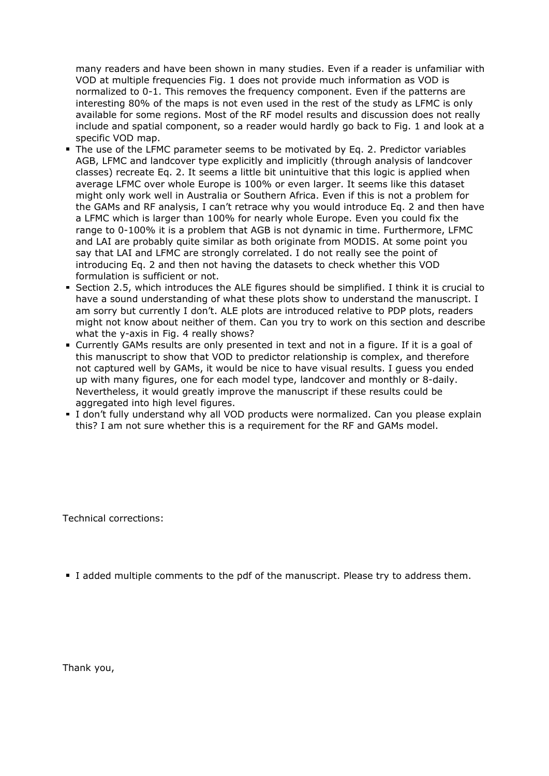many readers and have been shown in many studies. Even if a reader is unfamiliar with VOD at multiple frequencies Fig. 1 does not provide much information as VOD is normalized to 0-1. This removes the frequency component. Even if the patterns are interesting 80% of the maps is not even used in the rest of the study as LFMC is only available for some regions. Most of the RF model results and discussion does not really include and spatial component, so a reader would hardly go back to Fig. 1 and look at a specific VOD map.

- The use of the LFMC parameter seems to be motivated by Eq. 2. Predictor variables AGB, LFMC and landcover type explicitly and implicitly (through analysis of landcover classes) recreate Eq. 2. It seems a little bit unintuitive that this logic is applied when average LFMC over whole Europe is 100% or even larger. It seems like this dataset might only work well in Australia or Southern Africa. Even if this is not a problem for the GAMs and RF analysis, I can't retrace why you would introduce Eq. 2 and then have a LFMC which is larger than 100% for nearly whole Europe. Even you could fix the range to 0-100% it is a problem that AGB is not dynamic in time. Furthermore, LFMC and LAI are probably quite similar as both originate from MODIS. At some point you say that LAI and LFMC are strongly correlated. I do not really see the point of introducing Eq. 2 and then not having the datasets to check whether this VOD formulation is sufficient or not.
- Section 2.5, which introduces the ALE figures should be simplified. I think it is crucial to have a sound understanding of what these plots show to understand the manuscript. I am sorry but currently I don't. ALE plots are introduced relative to PDP plots, readers might not know about neither of them. Can you try to work on this section and describe what the y-axis in Fig. 4 really shows?
- Currently GAMs results are only presented in text and not in a figure. If it is a goal of this manuscript to show that VOD to predictor relationship is complex, and therefore not captured well by GAMs, it would be nice to have visual results. I guess you ended up with many figures, one for each model type, landcover and monthly or 8-daily. Nevertheless, it would greatly improve the manuscript if these results could be aggregated into high level figures.
- I don't fully understand why all VOD products were normalized. Can you please explain this? I am not sure whether this is a requirement for the RF and GAMs model.

Technical corrections:

I added multiple comments to the pdf of the manuscript. Please try to address them.

Thank you,